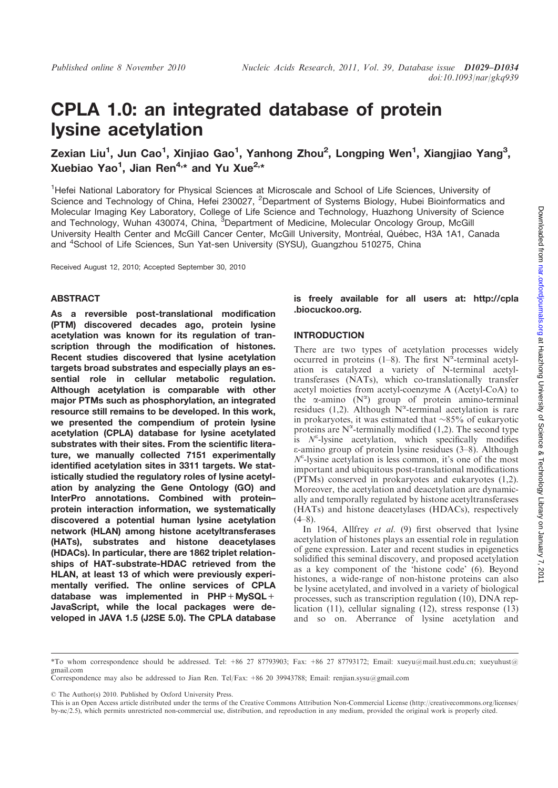# CPLA 1.0: an integrated database of protein lysine acetylation

Zexian Liu<sup>1</sup>, Jun Cao<sup>1</sup>, Xinjiao Gao<sup>1</sup>, Yanhong Zhou<sup>2</sup>, Longping Wen<sup>1</sup>, Xiangjiao Yang<sup>3</sup>, Xuebiao Yao<sup>1</sup>, Jian Ren<sup>4,\*</sup> and Yu Xue<sup>2,\*</sup>

<sup>1</sup>Hefei National Laboratory for Physical Sciences at Microscale and School of Life Sciences, University of Science and Technology of China, Hefei 230027, <sup>2</sup>Department of Systems Biology, Hubei Bioinformatics and Molecular Imaging Key Laboratory, College of Life Science and Technology, Huazhong University of Science and Technology, Wuhan 430074, China, <sup>3</sup>Department of Medicine, Molecular Oncology Group, McGill University Health Center and McGill Cancer Center, McGill University, Montréal, Québec, H3A 1A1, Canada and <sup>4</sup>School of Life Sciences, Sun Yat-sen University (SYSU), Guangzhou 510275, China

Received August 12, 2010; Accepted September 30, 2010

#### ABSTRACT

As a reversible post-translational modification (PTM) discovered decades ago, protein lysine acetylation was known for its regulation of transcription through the modification of histones. Recent studies discovered that lysine acetylation targets broad substrates and especially plays an essential role in cellular metabolic regulation. Although acetylation is comparable with other major PTMs such as phosphorylation, an integrated resource still remains to be developed. In this work, we presented the compendium of protein lysine acetylation (CPLA) database for lysine acetylated substrates with their sites. From the scientific literature, we manually collected 7151 experimentally identified acetylation sites in 3311 targets. We statistically studied the regulatory roles of lysine acetylation by analyzing the Gene Ontology (GO) and InterPro annotations. Combined with protein– protein interaction information, we systematically discovered a potential human lysine acetylation network (HLAN) among histone acetyltransferases (HATs), substrates and histone deacetylases (HDACs). In particular, there are 1862 triplet relationships of HAT-substrate-HDAC retrieved from the HLAN, at least 13 of which were previously experimentally verified. The online services of CPLA database was implemented in PHP+MySQL+ JavaScript, while the local packages were developed in JAVA 1.5 (J2SE 5.0). The CPLA database is freely available for all users at: http://cpla .biocuckoo.org.

#### INTRODUCTION

There are two types of acetylation processes widely occurred in proteins (1-8). The first  $N^{\hat{\alpha}}$ -terminal acetylation is catalyzed a variety of N-terminal acetyltransferases (NATs), which co-translationally transfer acetyl moieties from acetyl-coenzyme A (Acetyl-CoA) to the  $\alpha$ -amino (N<sup> $\alpha$ </sup>) group of protein amino-terminal residues (1,2). Although  $\hat{N}^{\alpha}$ -terminal acetylation is rare in prokaryotes, it was estimated that  $\sim 85\%$  of eukaryotic proteins are  $N^{\alpha}$ -terminally modified (1,2). The second type is  $N^{\epsilon}$ -lysine acetylation, which specifically modifies e-amino group of protein lysine residues (3–8). Although  $N^{\varepsilon}$ -lysine acetylation is less common, it's one of the most important and ubiquitous post-translational modifications (PTMs) conserved in prokaryotes and eukaryotes (1,2). Moreover, the acetylation and deacetylation are dynamically and temporally regulated by histone acetyltransferases (HATs) and histone deacetylases (HDACs), respectively  $(4-8)$ 

In 1964, Allfrey et al. (9) first observed that lysine acetylation of histones plays an essential role in regulation of gene expression. Later and recent studies in epigenetics solidified this seminal discovery, and proposed acetylation as a key component of the 'histone code' (6). Beyond histones, a wide-range of non-histone proteins can also be lysine acetylated, and involved in a variety of biological processes, such as transcription regulation (10), DNA replication (11), cellular signaling (12), stress response (13) and so on. Aberrance of lysine acetylation and

© The Author(s) 2010. Published by Oxford University Press.

This is an Open Access article distributed under the terms of the Creative Commons Attribution Non-Commercial License (http://creativecommons.org/licenses/ by-nc/2.5), which permits unrestricted non-commercial use, distribution, and reproduction in any medium, provided the original work is properly cited.

<sup>\*</sup>To whom correspondence should be addressed. Tel: +86 27 87793903; Fax: +86 27 87793172; Email: xueyu@mail.hust.edu.cn; xueyuhust@ gmail.com

Correspondence may also be addressed to Jian Ren. Tel/Fax: +86 20 39943788; Email: renjian.sysu@gmail.com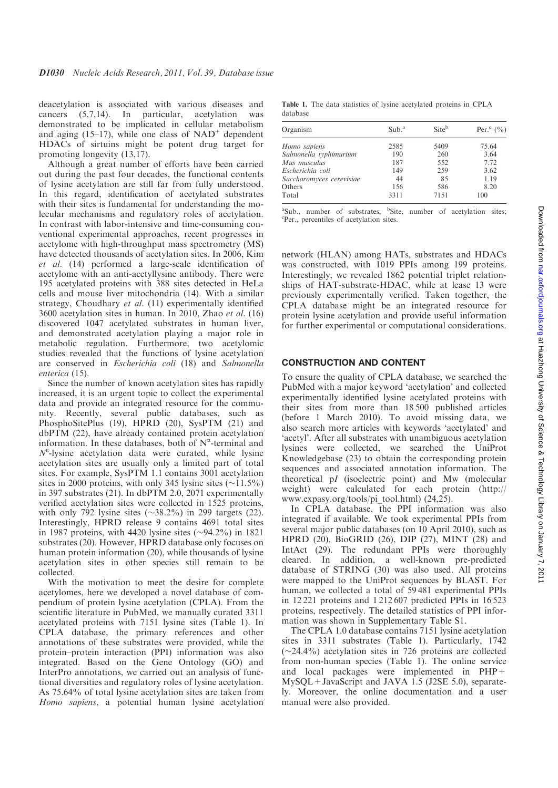deacetylation is associated with various diseases and cancers (5,7,14). In particular, acetylation was demonstrated to be implicated in cellular metabolism and aging  $(15-17)$ , while one class of NAD<sup>+</sup> dependent HDACs of sirtuins might be potent drug target for promoting longevity (13,17).

Although a great number of efforts have been carried out during the past four decades, the functional contents of lysine acetylation are still far from fully understood. In this regard, identification of acetylated substrates with their sites is fundamental for understanding the molecular mechanisms and regulatory roles of acetylation. In contrast with labor-intensive and time-consuming conventional experimental approaches, recent progresses in acetylome with high-throughput mass spectrometry (MS) have detected thousands of acetylation sites. In 2006, Kim et al. (14) performed a large-scale identification of acetylome with an anti-acetyllysine antibody. There were 195 acetylated proteins with 388 sites detected in HeLa cells and mouse liver mitochondria (14). With a similar strategy, Choudhary et al. (11) experimentally identified 3600 acetylation sites in human. In 2010, Zhao et al. (16) discovered 1047 acetylated substrates in human liver, and demonstrated acetylation playing a major role in metabolic regulation. Furthermore, two acetylomic studies revealed that the functions of lysine acetylation are conserved in Escherichia coli (18) and Salmonella enterica (15).

Since the number of known acetylation sites has rapidly increased, it is an urgent topic to collect the experimental data and provide an integrated resource for the community. Recently, several public databases, such as PhosphoSitePlus (19), HPRD (20), SysPTM (21) and dbPTM (22), have already contained protein acetylation information. In these databases, both of  $N^{\alpha}$ -terminal and  $N^{\epsilon}$ -lysine acetylation data were curated, while lysine acetylation sites are usually only a limited part of total sites. For example, SysPTM 1.1 contains 3001 acetylation sites in 2000 proteins, with only 345 lysine sites  $(\sim 11.5\%)$ in 397 substrates (21). In dbPTM 2.0, 2071 experimentally verified acetylation sites were collected in 1525 proteins, with only 792 lysine sites  $(\sim 38.2\%)$  in 299 targets (22). Interestingly, HPRD release 9 contains 4691 total sites in 1987 proteins, with 4420 lysine sites  $(\sim 94.2\%)$  in 1821 substrates (20). However, HPRD database only focuses on human protein information (20), while thousands of lysine acetylation sites in other species still remain to be collected.

With the motivation to meet the desire for complete acetylomes, here we developed a novel database of compendium of protein lysine acetylation (CPLA). From the scientific literature in PubMed, we manually curated 3311 acetylated proteins with 7151 lysine sites (Table 1). In CPLA database, the primary references and other annotations of these substrates were provided, while the protein–protein interaction (PPI) information was also integrated. Based on the Gene Ontology (GO) and InterPro annotations, we carried out an analysis of functional diversities and regulatory roles of lysine acetylation. As 75.64% of total lysine acetylation sites are taken from Homo sapiens, a potential human lysine acetylation

Table 1. The data statistics of lysine acetylated proteins in CPLA database

| Organism                 | Sub. <sup>a</sup> | Siteb | Per. $^{\circ}$ (%) |
|--------------------------|-------------------|-------|---------------------|
| Homo sapiens             | 2585              | 5409  | 75.64               |
| Salmonella typhimurium   | 190               | 260   | 3.64                |
| Mus musculus             | 187               | 552   | 7.72                |
| Escherichia coli         | 149               | 259   | 3.62                |
| Saccharomyces cerevisiae | 44                | 85    | 1.19                |
| Others                   | 156               | 586   | 8.20                |
| Total                    | 3311              | 7151  | 100                 |

<sup>a</sup>Sub., number of substrates; <sup>b</sup>Site, number of acetylation sites; Per., percentiles of acetylation sites.

network (HLAN) among HATs, substrates and HDACs was constructed, with 1019 PPIs among 199 proteins. Interestingly, we revealed 1862 potential triplet relationships of HAT-substrate-HDAC, while at lease 13 were previously experimentally verified. Taken together, the CPLA database might be an integrated resource for protein lysine acetylation and provide useful information for further experimental or computational considerations.

## CONSTRUCTION AND CONTENT

To ensure the quality of CPLA database, we searched the PubMed with a major keyword 'acetylation' and collected experimentally identified lysine acetylated proteins with their sites from more than 18 500 published articles (before 1 March 2010). To avoid missing data, we also search more articles with keywords 'acetylated' and 'acetyl'. After all substrates with unambiguous acetylation lysines were collected, we searched the UniProt Knowledgebase (23) to obtain the corresponding protein sequences and associated annotation information. The theoretical pI (isoelectric point) and Mw (molecular weight) were calculated for each protein (http:// www.expasy.org/tools/pi\_tool.html) (24,25).

In CPLA database, the PPI information was also integrated if available. We took experimental PPIs from several major public databases (on 10 April 2010), such as HPRD (20), BioGRID (26), DIP (27), MINT (28) and IntAct (29). The redundant PPIs were thoroughly cleared. In addition, a well-known pre-predicted database of STRING (30) was also used. All proteins were mapped to the UniProt sequences by BLAST. For human, we collected a total of 59 481 experimental PPIs in 12 221 proteins and 1 212 607 predicted PPIs in 16 523 proteins, respectively. The detailed statistics of PPI information was shown in Supplementary Table S1.

The CPLA 1.0 database contains 7151 lysine acetylation sites in 3311 substrates (Table 1). Particularly, 1742  $(\sim 24.4\%)$  acetylation sites in 726 proteins are collected from non-human species (Table 1). The online service and local packages were implemented in PHP+ MySQL+JavaScript and JAVA 1.5 (J2SE 5.0), separately. Moreover, the online documentation and a user manual were also provided.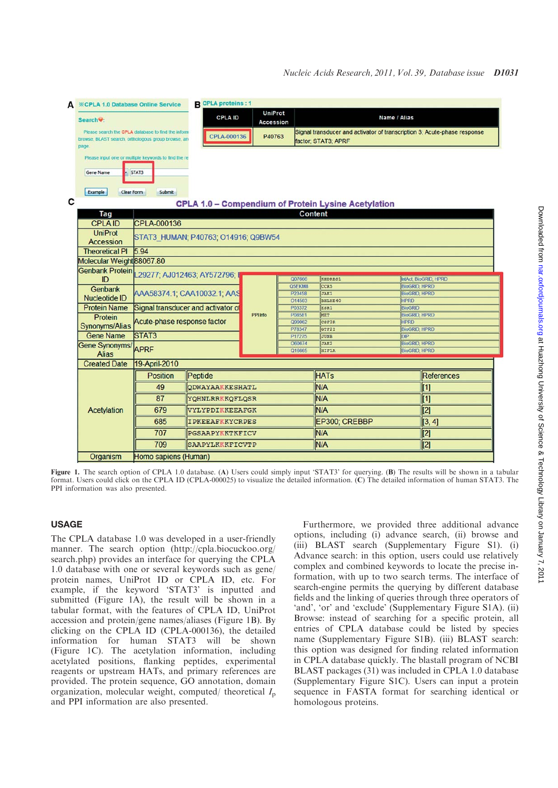| A | <b><i><b>EXCPLA 1.0 Database Online Service</b></i></b>                                                           |                                                    | <b>B</b> CPLA proteins : 1         |                                                                                                                          |                  |                                                            |                                              |                       |  |  |  |  |  |  |
|---|-------------------------------------------------------------------------------------------------------------------|----------------------------------------------------|------------------------------------|--------------------------------------------------------------------------------------------------------------------------|------------------|------------------------------------------------------------|----------------------------------------------|-----------------------|--|--|--|--|--|--|
|   | Search <sup>(2</sup> :                                                                                            |                                                    | <b>CPLA ID</b>                     | <b>UniProt</b><br><b>Accession</b>                                                                                       |                  |                                                            | Name / Alias                                 |                       |  |  |  |  |  |  |
|   | Please search the CPLA database to find the inform<br>browse, BLAST search, orthologous group browse, an<br>page. |                                                    |                                    | Signal transducer and activator of transcription 3; Acute-phase response<br>P40763<br>CPLA-000136<br>factor: STAT3: APRF |                  |                                                            |                                              |                       |  |  |  |  |  |  |
|   | Please input one or multiple keywords to find the re<br>Gene Name<br>STAT3<br>Example<br>Clear Form<br>Submit     |                                                    |                                    |                                                                                                                          |                  |                                                            |                                              |                       |  |  |  |  |  |  |
| C |                                                                                                                   |                                                    |                                    |                                                                                                                          |                  |                                                            |                                              |                       |  |  |  |  |  |  |
|   | <b>CPLA 1.0 - Compendium of Protein Lysine Acetylation</b>                                                        |                                                    |                                    |                                                                                                                          |                  |                                                            |                                              |                       |  |  |  |  |  |  |
|   | Content<br>Tag<br><b>CPLAID</b>                                                                                   |                                                    |                                    |                                                                                                                          |                  |                                                            |                                              |                       |  |  |  |  |  |  |
|   | <b>UniProt</b>                                                                                                    | CPLA-000136<br>STAT3 HUMAN; P40763; O14916; Q9BW54 |                                    |                                                                                                                          |                  |                                                            |                                              |                       |  |  |  |  |  |  |
|   | <b>Accession</b>                                                                                                  |                                                    |                                    |                                                                                                                          |                  |                                                            |                                              |                       |  |  |  |  |  |  |
|   | <b>Theoretical PI</b>                                                                                             | 5.94                                               |                                    |                                                                                                                          |                  |                                                            |                                              |                       |  |  |  |  |  |  |
|   | Molecular Weight 88067.80                                                                                         |                                                    |                                    |                                                                                                                          |                  |                                                            |                                              |                       |  |  |  |  |  |  |
|   | Genbank Protein 29277; AJ012463; AY572796; I<br>ID                                                                |                                                    |                                    |                                                                                                                          | Q07666           | KHDRBS1                                                    |                                              | IntAct, BioGRID, HPRD |  |  |  |  |  |  |
|   | Genbank                                                                                                           |                                                    | AAA58374.1; CAA10032.1; AAS        |                                                                                                                          | Q5EKM8<br>P23458 | <b>CCR5</b><br>JAK1                                        | <b>BioGRID, HPRD</b><br><b>BioGRID, HPRD</b> |                       |  |  |  |  |  |  |
|   | <b>Nucleotide ID</b>                                                                                              |                                                    |                                    |                                                                                                                          | O14503           | <b>BHLHE40</b>                                             | <b>HPRD</b>                                  |                       |  |  |  |  |  |  |
|   | <b>Protein Name</b>                                                                                               |                                                    | Signal transducer and activator of |                                                                                                                          | P03372           | ESR1                                                       | <b>BioGRID</b>                               |                       |  |  |  |  |  |  |
|   | Protein                                                                                                           |                                                    |                                    | PPI Info                                                                                                                 | P08581           | MET                                                        | <b>BioGRID, HPRD</b>                         |                       |  |  |  |  |  |  |
|   | Synonyms/Alias                                                                                                    | Acute-phase response factor                        |                                    |                                                                                                                          | Q99062           | CSF3R                                                      | <b>HPRD</b>                                  |                       |  |  |  |  |  |  |
|   | <b>Gene Name</b>                                                                                                  | STAT <sub>3</sub>                                  |                                    |                                                                                                                          | P78347<br>P17275 | <b>BioGRID, HPRD</b><br>GTF2I<br><b>JUNB</b><br><b>DIP</b> |                                              |                       |  |  |  |  |  |  |
|   | Gene Synonyms/                                                                                                    |                                                    |                                    |                                                                                                                          | O60674           | JAK2                                                       | <b>BioGRID, HPRD</b>                         |                       |  |  |  |  |  |  |
|   | <b>Alias</b>                                                                                                      | APRF                                               |                                    | Q16665                                                                                                                   |                  | <b>BioGRID, HPRD</b><br><b>HIF1A</b>                       |                                              |                       |  |  |  |  |  |  |
|   | <b>Created Date</b>                                                                                               | 19-April-2010                                      |                                    |                                                                                                                          |                  |                                                            |                                              |                       |  |  |  |  |  |  |
|   |                                                                                                                   | <b>Position</b>                                    | Peptide                            |                                                                                                                          |                  | <b>HATs</b>                                                |                                              | References            |  |  |  |  |  |  |
|   |                                                                                                                   | 49                                                 | <b>QDWAYAAKKESHATL</b>             |                                                                                                                          |                  | N/A                                                        |                                              | $\vert$ [1]           |  |  |  |  |  |  |
|   |                                                                                                                   | 87                                                 | YQHNLRRKKQFLQSR                    |                                                                                                                          |                  | N/A                                                        |                                              | $\vert$ [1]           |  |  |  |  |  |  |
|   | Acetylation                                                                                                       | 679                                                | VYLYPDIKKEEAFGK                    |                                                                                                                          |                  | N/A                                                        |                                              | $\overline{[2]}$      |  |  |  |  |  |  |
|   |                                                                                                                   | 685                                                | <b>IPKEEAFKKYCRPES</b>             |                                                                                                                          |                  | EP300; CREBBP                                              |                                              | [3, 4]                |  |  |  |  |  |  |
|   |                                                                                                                   | 707                                                | PGSAAPYKKTKFICV                    |                                                                                                                          |                  | N/A                                                        |                                              | [2]                   |  |  |  |  |  |  |
|   |                                                                                                                   | 709                                                | SAAPYLKKKFICVTP                    |                                                                                                                          |                  | <b>N/A</b>                                                 |                                              | [2]                   |  |  |  |  |  |  |
|   | Organism                                                                                                          | Homo sapiens (Human)                               |                                    |                                                                                                                          |                  |                                                            |                                              |                       |  |  |  |  |  |  |
|   |                                                                                                                   |                                                    |                                    |                                                                                                                          |                  |                                                            |                                              |                       |  |  |  |  |  |  |

Figure 1. The search option of CPLA 1.0 database. (A) Users could simply input 'STAT3' for querying. (B) The results will be shown in a tabular format. Users could click on the CPLA ID (CPLA-000025) to visualize the detailed information. (C) The detailed information of human STAT3. The PPI information was also presented.

## USAGE

The CPLA database 1.0 was developed in a user-friendly manner. The search option (http://cpla.biocuckoo.org/ search.php) provides an interface for querying the CPLA 1.0 database with one or several keywords such as gene/ protein names, UniProt ID or CPLA ID, etc. For example, if the keyword 'STAT3' is inputted and submitted (Figure 1A), the result will be shown in a tabular format, with the features of CPLA ID, UniProt accession and protein/gene names/aliases (Figure 1B). By clicking on the CPLA ID (CPLA-000136), the detailed information for human STAT3 will be shown (Figure 1C). The acetylation information, including acetylated positions, flanking peptides, experimental reagents or upstream HATs, and primary references are provided. The protein sequence, GO annotation, domain organization, molecular weight, computed/ theoretical  $I_p$ and PPI information are also presented.

Furthermore, we provided three additional advance options, including (i) advance search, (ii) browse and (iii) BLAST search (Supplementary Figure S1). (i) Advance search: in this option, users could use relatively complex and combined keywords to locate the precise information, with up to two search terms. The interface of search-engine permits the querying by different database fields and the linking of queries through three operators of 'and', 'or' and 'exclude' (Supplementary Figure S1A). (ii) Browse: instead of searching for a specific protein, all entries of CPLA database could be listed by species name (Supplementary Figure S1B). (iii) BLAST search: this option was designed for finding related information in CPLA database quickly. The blastall program of NCBI BLAST packages (31) was included in CPLA 1.0 database (Supplementary Figure S1C). Users can input a protein sequence in FASTA format for searching identical or homologous proteins.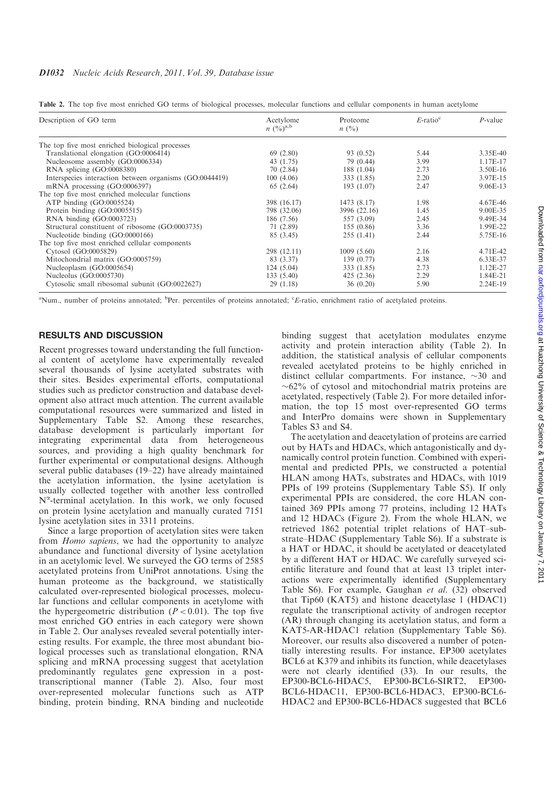### D1032 Nucleic Acids Research, 2011, Vol. 39, Database issue

|  |  |  |  |  |  |  | Table 2. The top five most enriched GO terms of biological processes, molecular functions and cellular components in human acetylome |  |
|--|--|--|--|--|--|--|--------------------------------------------------------------------------------------------------------------------------------------|--|
|  |  |  |  |  |  |  |                                                                                                                                      |  |

| Description of GO term                                  | Acetylome<br>$n \left(\frac{0}{0}\right)^{a,b}$ | Proteome<br>$n \ (\%)$ | $E$ -ratio <sup>c</sup> | $P$ -value |  |
|---------------------------------------------------------|-------------------------------------------------|------------------------|-------------------------|------------|--|
| The top five most enriched biological processes         |                                                 |                        |                         |            |  |
| Translational elongation (GO:0006414)                   | 69 (2.80)                                       | 93 (0.52)              | 5.44                    | 3.35E-40   |  |
| Nucleosome assembly (GO:0006334)                        | 43 (1.75)                                       | 79 (0.44)              | 3.99                    | 1.17E-17   |  |
| RNA splicing (GO:0008380)                               | 70(2.84)                                        | 188 (1.04)             | 2.73                    | 3.50E-16   |  |
| Interspecies interaction between organisms (GO:0044419) | 100(4.06)                                       | 333 (1.85)             | 2.20                    | 3.97E-15   |  |
| mRNA processing $(GO:0006397)$                          | 65 (2.64)                                       | 193(1.07)              | 2.47                    | 9.06E-13   |  |
| The top five most enriched molecular functions          |                                                 |                        |                         |            |  |
| ATP binding $(GO:0005524)$                              | 398 (16.17)                                     | 1473 (8.17)            | 1.98                    | 4.67E-46   |  |
| Protein binding (GO:0005515)                            | 798 (32.06)                                     | 3996 (22.16)           | 1.45                    | 9.00E-35   |  |
| RNA binding (GO:0003723)                                | 186 (7.56)                                      | 557 (3.09)             | 2.45                    | 9.49E-34   |  |
| Structural constituent of ribosome (GO:0003735)         | 71 (2.89)                                       | 155(0.86)              | 3.36                    | 1.99E-22   |  |
| Nucleotide binding (GO:0000166)                         | 85 (3.45)                                       | 255 (1.41)             | 2.44                    | 5.75E-16   |  |
| The top five most enriched cellular components          |                                                 |                        |                         |            |  |
| Cytosol (GO:0005829)                                    | 298 (12.11)                                     | 1009(5.60)             | 2.16                    | 4.71E-42   |  |
| Mitochondrial matrix (GO:0005759)                       | 83 (3.37)                                       | 139(0.77)              | 4.38                    | 6.33E-37   |  |
| Nucleoplasm (GO:0005654)                                | 124(5.04)                                       | 333 (1.85)             | 2.73                    | 1.12E-27   |  |
| Nucleolus (GO:0005730)                                  | 133(5.40)                                       | 425(2.36)              | 2.29                    | 1.84E-21   |  |
| Cytosolic small ribosomal subunit (GO:0022627)          | 29(1.18)                                        | 36(0.20)               | 5.90                    | 2.24E-19   |  |

<sup>a</sup>Num., number of proteins annotated; <sup>b</sup>Per. percentiles of proteins annotated; <sup>c</sup>E-ratio, enrichment ratio of acetylated proteins.

## RESULTS AND DISCUSSION

Recent progresses toward understanding the full functional content of acetylome have experimentally revealed several thousands of lysine acetylated substrates with their sites. Besides experimental efforts, computational studies such as predictor construction and database development also attract much attention. The current available computational resources were summarized and listed in Supplementary Table S2. Among these researches, database development is particularly important for integrating experimental data from heterogeneous sources, and providing a high quality benchmark for further experimental or computational designs. Although several public databases (19–22) have already maintained the acetylation information, the lysine acetylation is usually collected together with another less controlled  $N^{\alpha}$ -terminal acetylation. In this work, we only focused on protein lysine acetylation and manually curated 7151 lysine acetylation sites in 3311 proteins.

Since a large proportion of acetylation sites were taken from Homo sapiens, we had the opportunity to analyze abundance and functional diversity of lysine acetylation in an acetylomic level. We surveyed the GO terms of 2585 acetylated proteins from UniProt annotations. Using the human proteome as the background, we statistically calculated over-represented biological processes, molecular functions and cellular components in acetylome with the hypergeometric distribution  $(P < 0.01)$ . The top five most enriched GO entries in each category were shown in Table 2. Our analyses revealed several potentially interesting results. For example, the three most abundant biological processes such as translational elongation, RNA splicing and mRNA processing suggest that acetylation predominantly regulates gene expression in a posttranscriptional manner (Table 2). Also, four most over-represented molecular functions such as ATP binding, protein binding, RNA binding and nucleotide binding suggest that acetylation modulates enzyme activity and protein interaction ability (Table 2). In addition, the statistical analysis of cellular components revealed acetylated proteins to be highly enriched in distinct cellular compartments. For instance,  $\sim$ 30 and  $\sim$ 62% of cytosol and mitochondrial matrix proteins are acetylated, respectively (Table 2). For more detailed information, the top 15 most over-represented GO terms and InterPro domains were shown in Supplementary Tables S3 and S4.

The acetylation and deacetylation of proteins are carried out by HATs and HDACs, which antagonistically and dynamically control protein function. Combined with experimental and predicted PPIs, we constructed a potential HLAN among HATs, substrates and HDACs, with 1019 PPIs of 199 proteins (Supplementary Table S5). If only experimental PPIs are considered, the core HLAN contained 369 PPIs among 77 proteins, including 12 HATs and 12 HDACs (Figure 2). From the whole HLAN, we retrieved 1862 potential triplet relations of HAT–substrate–HDAC (Supplementary Table S6). If a substrate is a HAT or HDAC, it should be acetylated or deacetylated by a different HAT or HDAC. We carefully surveyed scientific literature and found that at least 13 triplet interactions were experimentally identified (Supplementary Table S6). For example, Gaughan et al. (32) observed that Tip60 (KAT5) and histone deacetylase 1 (HDAC1) regulate the transcriptional activity of androgen receptor (AR) through changing its acetylation status, and form a KAT5-AR-HDAC1 relation (Supplementary Table S6). Moreover, our results also discovered a number of potentially interesting results. For instance, EP300 acetylates BCL6 at K379 and inhibits its function, while deacetylases were not clearly identified (33). In our results, the EP300-BCL6-HDAC5, EP300-BCL6-SIRT2, EP300- BCL6-HDAC11, EP300-BCL6-HDAC3, EP300-BCL6- HDAC2 and EP300-BCL6-HDAC8 suggested that BCL6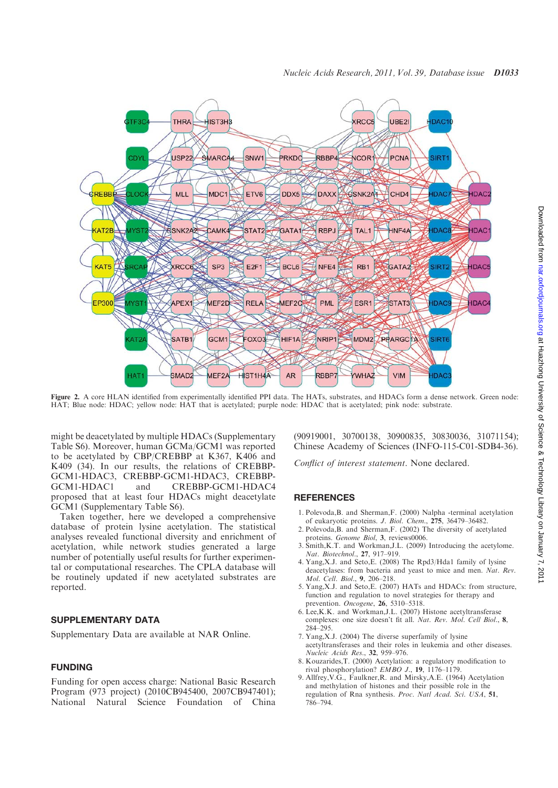

Figure 2. A core HLAN identified from experimentally identified PPI data. The HATs, substrates, and HDACs form a dense network. Green node: HAT; Blue node: HDAC; yellow node: HAT that is acetylated; purple node: HDAC that is acetylated; pink node: substrate.

might be deacetylated by multiple HDACs (Supplementary Table S6). Moreover, human GCMa/GCM1 was reported to be acetylated by CBP/CREBBP at K367, K406 and K409 (34). In our results, the relations of CREBBP-GCM1-HDAC3, CREBBP-GCM1-HDAC3, CREBBP-GCM1-HDAC4 and **CREBBP-GCM1-HDAC4** proposed that at least four HDACs might deacetylate GCM1 (Supplementary Table S6).

Taken together, here we developed a comprehensive database of protein lysine acetylation. The statistical analyses revealed functional diversity and enrichment of acetylation, while network studies generated a large number of potentially useful results for further experimental or computational researches. The CPLA database will be routinely updated if new acetylated substrates are reported.

# SUPPLEMENTARY DATA

Supplementary Data are available at NAR Online.

## FUNDING

Funding for open access charge: National Basic Research Program (973 project) (2010CB945400, 2007CB947401); National Natural Science Foundation of China (90919001, 30700138, 30900835, 30830036, 31071154); Chinese Academy of Sciences (INFO-115-C01-SDB4-36).

Conflict of interest statement. None declared.

### **REFERENCES**

- 1. Polevoda,B. and Sherman,F. (2000) Nalpha -terminal acetylation of eukaryotic proteins. J. Biol. Chem., 275, 36479–36482.
- 2. Polevoda,B. and Sherman,F. (2002) The diversity of acetylated proteins. Genome Biol, 3, reviews0006.
- 3. Smith,K.T. and Workman,J.L. (2009) Introducing the acetylome. Nat. Biotechnol., 27, 917–919.
- 4. Yang,X.J. and Seto,E. (2008) The Rpd3/Hda1 family of lysine deacetylases: from bacteria and yeast to mice and men. Nat. Rev. Mol. Cell. Biol., 9, 206–218.
- 5. Yang,X.J. and Seto,E. (2007) HATs and HDACs: from structure, function and regulation to novel strategies for therapy and prevention. Oncogene, 26, 5310–5318.
- 6. Lee,K.K. and Workman,J.L. (2007) Histone acetyltransferase complexes: one size doesn't fit all. Nat. Rev. Mol. Cell Biol., 8, 284–295.
- 7. Yang,X.J. (2004) The diverse superfamily of lysine acetyltransferases and their roles in leukemia and other diseases. Nucleic Acids Res., 32, 959–976.
- 8. Kouzarides,T. (2000) Acetylation: a regulatory modification to rival phosphorylation? EMBO J., 19, 1176–1179.
- 9. Allfrey,V.G., Faulkner,R. and Mirsky,A.E. (1964) Acetylation and methylation of histones and their possible role in the regulation of Rna synthesis. Proc. Natl Acad. Sci. USA, 51, 786–794.